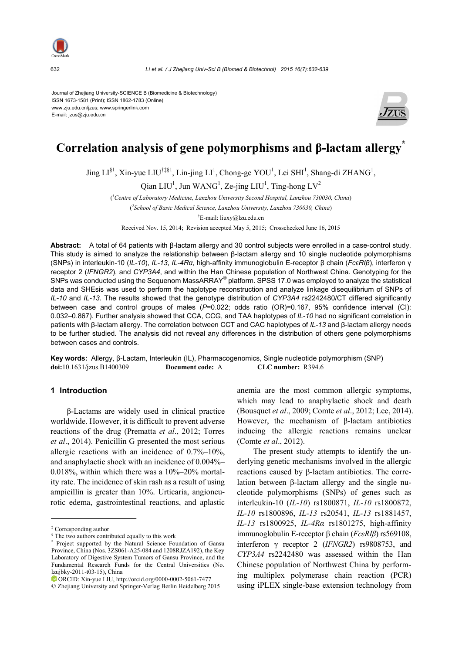

632 *Li et al. / J Zhejiang Univ-Sci B (Biomed & Biotechnol) 2015 16(7):632-639*

Journal of Zhejiang University-SCIENCE B (Biomedicine & Biotechnology) ISSN 1673-1581 (Print); ISSN 1862-1783 (Online) www.zju.edu.cn/jzus; www.springerlink.com E-mail: jzus@zju.edu.cn



# **Correlation analysis of gene polymorphisms and β-lactam allergy\***

Jing  $LI^{\S1}$ , Xin-yue  $LU^{\dagger\ddagger\S1}$ , Lin-jing  $LI^1$ , Chong-ge YOU<sup>1</sup>, Lei SHI<sup>1</sup>, Shang-di ZHANG<sup>1</sup>,

Qian  $LIU<sup>1</sup>$ , Jun WANG<sup>1</sup>, Ze-jing  $LIU<sup>1</sup>$ , Ting-hong  $LV<sup>2</sup>$ 

( *1 Centre of Laboratory Medicine, Lanzhou University Second Hospital, Lanzhou 730030, China*)

( *2 School of Basic Medical Science, Lanzhou University, Lanzhou 730030, China*) † E-mail: liuxy@lzu.edu.cn

Received Nov. 15, 2014; Revision accepted May 5, 2015; Crosschecked June 16, 2015

**Abstract:** A total of 64 patients with β-lactam allergy and 30 control subjects were enrolled in a case-control study. This study is aimed to analyze the relationship between β-lactam allergy and 10 single nucleotide polymorphisms (SNPs) in interleukin-10 (*IL-10*), *IL-13*, *IL-4Rα*, high-affinity immunoglobulin E-receptor β chain (*FcεRIβ*), interferon γ receptor 2 (*IFNGR2*), and *CYP3A4*, and within the Han Chinese population of Northwest China. Genotyping for the SNPs was conducted using the Sequenom MassARRAY® platform. SPSS 17.0 was employed to analyze the statistical data and SHEsis was used to perform the haplotype reconstruction and analyze linkage disequilibrium of SNPs of *IL-10* and *IL-13*. The results showed that the genotype distribution of *CYP3A4* rs2242480/CT differed significantly between case and control groups of males (*P*=0.022; odds ratio (OR)=0.167, 95% confidence interval (CI): 0.032–0.867). Further analysis showed that CCA, CCG, and TAA haplotypes of *IL-10* had no significant correlation in patients with β-lactam allergy. The correlation between CCT and CAC haplotypes of *IL-13* and β-lactam allergy needs to be further studied. The analysis did not reveal any differences in the distribution of others gene polymorphisms between cases and controls.

**Key words:** Allergy, β-Lactam, Interleukin (IL), Pharmacogenomics, Single nucleotide polymorphism (SNP) **doi:**10.1631/jzus.B1400309 **Document code:** A **CLC number:** R394.6

## **1 Introduction**

β-Lactams are widely used in clinical practice worldwide. However, it is difficult to prevent adverse reactions of the drug (Prematta *et al*., 2012; Torres *et al*., 2014). Penicillin G presented the most serious allergic reactions with an incidence of 0.7%–10%, and anaphylactic shock with an incidence of 0.004%– 0.018%, within which there was a 10%–20% mortality rate. The incidence of skin rash as a result of using ampicillin is greater than 10%. Urticaria, angioneurotic edema, gastrointestinal reactions, and aplastic

anemia are the most common allergic symptoms, which may lead to anaphylactic shock and death (Bousquet *et al*., 2009; Comte *et al*., 2012; Lee, 2014). However, the mechanism of β-lactam antibiotics inducing the allergic reactions remains unclear (Comte *et al*., 2012).

The present study attempts to identify the underlying genetic mechanisms involved in the allergic reactions caused by β-lactam antibiotics. The correlation between β-lactam allergy and the single nucleotide polymorphisms (SNPs) of genes such as interleukin-10 (*IL-10*) rs1800871, *IL-10* rs1800872, *IL-10* rs1800896, *IL-13* rs20541, *IL-13* rs1881457, *IL-13* rs1800925, *IL-4Rα* rs1801275, high-affinity immunoglobulin E-receptor β chain (*FcεRIβ*) rs569108, interferon γ receptor 2 (*IFNGR2*) rs9808753, and *CYP3A4* rs2242480 was assessed within the Han Chinese population of Northwest China by performing multiplex polymerase chain reaction (PCR) using iPLEX single-base extension technology from

<sup>‡</sup> Corresponding author

<sup>§</sup> The two authors contributed equally to this work

<sup>\*</sup> Project supported by the Natural Science Foundation of Gansu Province, China (Nos. 3ZS061-A25-084 and 1208RJZA192), the Key Laboratory of Digestive System Tumors of Gansu Province, and the Fundamental Research Funds for the Central Universities (No. lzujbky-2011-t03-15), China

ORCID: Xin-yue LIU, http://orcid.org/0000-0002-5061-7477

<sup>©</sup> Zhejiang University and Springer-Verlag Berlin Heidelberg 2015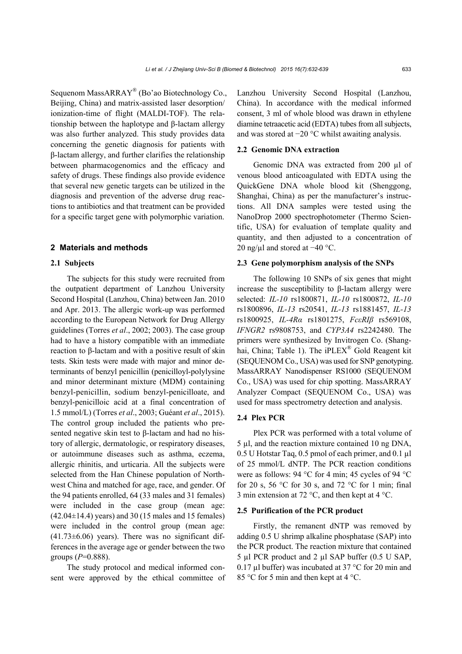Sequenom MassARRAY® (Bo'ao Biotechnology Co., Beijing, China) and matrix-assisted laser desorption/ ionization-time of flight (MALDI-TOF). The relationship between the haplotype and β-lactam allergy was also further analyzed. This study provides data concerning the genetic diagnosis for patients with β-lactam allergy, and further clarifies the relationship between pharmacogenomics and the efficacy and safety of drugs. These findings also provide evidence that several new genetic targets can be utilized in the diagnosis and prevention of the adverse drug reactions to antibiotics and that treatment can be provided for a specific target gene with polymorphic variation.

#### **2 Materials and methods**

#### **2.1 Subjects**

The subjects for this study were recruited from the outpatient department of Lanzhou University Second Hospital (Lanzhou, China) between Jan. 2010 and Apr. 2013. The allergic work-up was performed according to the European Network for Drug Allergy guidelines (Torres *et al*., 2002; 2003). The case group had to have a history compatible with an immediate reaction to β-lactam and with a positive result of skin tests. Skin tests were made with major and minor determinants of benzyl penicillin (penicilloyl-polylysine and minor determinant mixture (MDM) containing benzyl-penicillin, sodium benzyl-penicilloate, and benzyl-penicilloic acid at a final concentration of 1.5 mmol/L) (Torres *et al*., 2003; Guéant *et al*., 2015). The control group included the patients who presented negative skin test to β-lactam and had no history of allergic, dermatologic, or respiratory diseases, or autoimmune diseases such as asthma, eczema, allergic rhinitis, and urticaria. All the subjects were selected from the Han Chinese population of Northwest China and matched for age, race, and gender. Of the 94 patients enrolled, 64 (33 males and 31 females) were included in the case group (mean age:  $(42.04\pm14.4)$  years) and 30 (15 males and 15 females) were included in the control group (mean age:  $(41.73\pm6.06)$  years). There was no significant differences in the average age or gender between the two groups (*P*=0.888).

The study protocol and medical informed consent were approved by the ethical committee of Lanzhou University Second Hospital (Lanzhou, China). In accordance with the medical informed consent, 3 ml of whole blood was drawn in ethylene diamine tetraacetic acid (EDTA) tubes from all subjects, and was stored at −20 °C whilst awaiting analysis.

## **2.2 Genomic DNA extraction**

Genomic DNA was extracted from 200 µl of venous blood anticoagulated with EDTA using the QuickGene DNA whole blood kit (Shenggong, Shanghai, China) as per the manufacturer's instructions. All DNA samples were tested using the NanoDrop 2000 spectrophotometer (Thermo Scientific, USA) for evaluation of template quality and quantity, and then adjusted to a concentration of 20 ng/µl and stored at −40 °C.

#### **2.3 Gene polymorphism analysis of the SNPs**

The following 10 SNPs of six genes that might increase the susceptibility to β-lactam allergy were selected: *IL-10* rs1800871, *IL-10* rs1800872, *IL-10* rs1800896, *IL-13* rs20541, *IL-13* rs1881457, *IL-13*  rs1800925, *IL-4Rα* rs1801275, *FcεRIβ* rs569108, *IFNGR2* rs9808753, and *CYP3A4* rs2242480. The primers were synthesized by Invitrogen Co. (Shanghai, China; Table 1). The iPLEX<sup>®</sup> Gold Reagent kit (SEQUENOM Co., USA) was used for SNP genotyping. MassARRAY Nanodispenser RS1000 (SEQUENOM Co., USA) was used for chip spotting. MassARRAY Analyzer Compact (SEQUENOM Co., USA) was used for mass spectrometry detection and analysis.

## **2.4 Plex PCR**

Plex PCR was performed with a total volume of 5 µl, and the reaction mixture contained 10 ng DNA, 0.5 U Hotstar Taq, 0.5 pmol of each primer, and 0.1 µl of 25 mmol/L dNTP. The PCR reaction conditions were as follows: 94 °C for 4 min; 45 cycles of 94 °C for 20 s, 56 °C for 30 s, and 72 °C for 1 min; final 3 min extension at 72 °C, and then kept at 4 °C.

#### **2.5 Purification of the PCR product**

Firstly, the remanent dNTP was removed by adding 0.5 U shrimp alkaline phosphatase (SAP) into the PCR product. The reaction mixture that contained 5 µl PCR product and 2 µl SAP buffer (0.5 U SAP, 0.17 µl buffer) was incubated at 37 °C for 20 min and 85 °C for 5 min and then kept at 4 °C.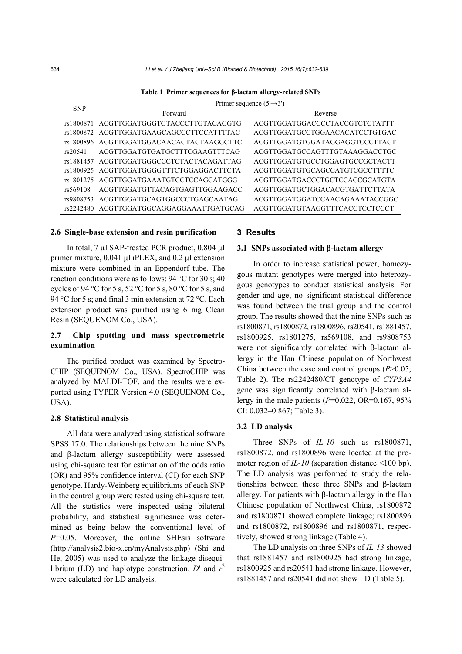**Table 1 Primer sequences for β-lactam allergy-related SNPs** 

| <b>SNP</b> | Primer sequence $(5' \rightarrow 3')$    |                                |  |  |  |  |  |
|------------|------------------------------------------|--------------------------------|--|--|--|--|--|
|            | Forward                                  | Reverse                        |  |  |  |  |  |
| rs1800871  | ACGTTGGATGGGTGTACCCTTGTACAGGTG           | ACGTTGGATGGACCCCTACCGTCTCTATTT |  |  |  |  |  |
|            | rs1800872 ACGTTGGATGAAGCAGCCCTTCCATTTTAC | ACGTTGGATGCCTGGAACACATCCTGTGAC |  |  |  |  |  |
| rs1800896  | ACGTTGGATGGACAACACTACTAAGGCTTC           | ACGTTGGATGTGGATAGGAGGTCCCTTACT |  |  |  |  |  |
| rs20541    | ACGTTGGATGTGATGCTTTCGAAGTTTCAG           | ACGTTGGATGCCAGTTTGTAAAGGACCTGC |  |  |  |  |  |
| rs1881457  | ACGTTGGATGGGCCCTCTACTACAGATTAG           | ACGTTGGATGTGCCTGGAGTGCCGCTACTT |  |  |  |  |  |
| rs1800925  | ACGTTGGATGGGGTTTCTGGAGGACTTCTA           | ACGTTGGATGTGCAGCCATGTCGCCTTTTC |  |  |  |  |  |
| rs1801275  | ACGTTGGATGAAATGTCCTCCAGCATGGG            | ACGTTGGATGACCCTGCTCCACCGCATGTA |  |  |  |  |  |
| rs569108   | ACGTTGGATGTTACAGTGAGTTGGAAGACC           | ACGTTGGATGCTGGACACGTGATTCTTATA |  |  |  |  |  |
| rs9808753  | ACGTTGGATGCAGTGGCCCTGAGCAATAG            | ACGTTGGATGGATCCAACAGAAATACCGGC |  |  |  |  |  |
| rs2242480  | ACGTTGGATGGCAGGAGGAAATTGATGCAG           | ACGTTGGATGTAAGGTTTCACCTCCTCCCT |  |  |  |  |  |

#### **2.6 Single-base extension and resin purification**

In total, 7 µl SAP-treated PCR product, 0.804 µl primer mixture, 0.041 µl iPLEX, and 0.2 µl extension mixture were combined in an Eppendorf tube. The reaction conditions were as follows: 94 °C for 30 s; 40 cycles of 94 °C for 5 s, 52 °C for 5 s, 80 °C for 5 s, and 94 °C for 5 s; and final 3 min extension at 72 °C. Each extension product was purified using 6 mg Clean Resin (SEQUENOM Co., USA).

## **2.7 Chip spotting and mass spectrometric examination**

The purified product was examined by Spectro-CHIP (SEQUENOM Co., USA). SpectroCHIP was analyzed by MALDI-TOF, and the results were exported using TYPER Version 4.0 (SEQUENOM Co., USA).

#### **2.8 Statistical analysis**

All data were analyzed using statistical software SPSS 17.0. The relationships between the nine SNPs and β-lactam allergy susceptibility were assessed using chi-square test for estimation of the odds ratio (OR) and 95% confidence interval (CI) for each SNP genotype. Hardy-Weinberg equilibriums of each SNP in the control group were tested using chi-square test. All the statistics were inspected using bilateral probability, and statistical significance was determined as being below the conventional level of *P*=0.05. Moreover, the online SHEsis software (http://analysis2.bio-x.cn/myAnalysis.php) (Shi and He, 2005) was used to analyze the linkage disequilibrium (LD) and haplotype construction. *D'* and  $r^2$ were calculated for LD analysis.

#### **3 Results**

#### **3.1 SNPs associated with β-lactam allergy**

In order to increase statistical power, homozygous mutant genotypes were merged into heterozygous genotypes to conduct statistical analysis. For gender and age, no significant statistical difference was found between the trial group and the control group. The results showed that the nine SNPs such as rs1800871, rs1800872, rs1800896, rs20541, rs1881457, rs1800925, rs1801275, rs569108, and rs9808753 were not significantly correlated with β-lactam allergy in the Han Chinese population of Northwest China between the case and control groups (*P*>0.05; Table 2). The rs2242480/CT genotype of *CYP3A4* gene was significantly correlated with β-lactam allergy in the male patients (*P*=0.022, OR=0.167, 95% CI: 0.032–0.867; Table 3).

#### **3.2 LD analysis**

Three SNPs of *IL-10* such as rs1800871, rs1800872, and rs1800896 were located at the promoter region of *IL-10* (separation distance <100 bp). The LD analysis was performed to study the relationships between these three SNPs and β-lactam allergy. For patients with β-lactam allergy in the Han Chinese population of Northwest China, rs1800872 and rs1800871 showed complete linkage; rs1800896 and rs1800872, rs1800896 and rs1800871, respectively, showed strong linkage (Table 4).

The LD analysis on three SNPs of *IL-13* showed that rs1881457 and rs1800925 had strong linkage, rs1800925 and rs20541 had strong linkage. However, rs1881457 and rs20541 did not show LD (Table 5).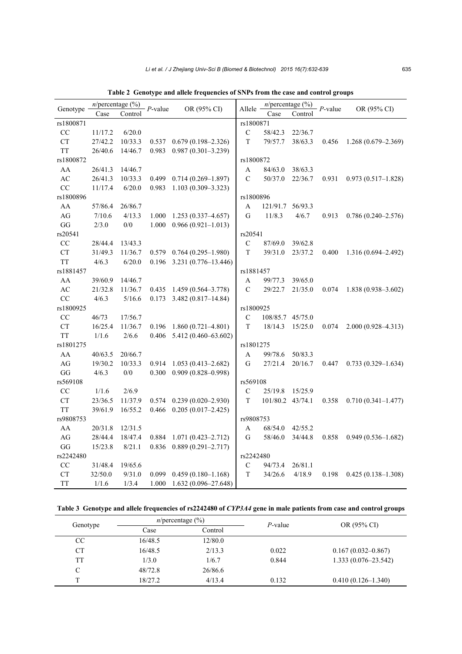| Genotype               | $n$ /percentage (%) |           | $P$ -value | OR (95% CI)             | Allele         |          | $n$ /percentage (%) |            | OR (95% CI)            |
|------------------------|---------------------|-----------|------------|-------------------------|----------------|----------|---------------------|------------|------------------------|
|                        | Case                | Control   |            |                         |                | Case     | Control             | $P$ -value |                        |
| rs1800871              |                     |           |            |                         | rs1800871      |          |                     |            |                        |
| CC                     | 11/17.2             | 6/20.0    |            |                         | $\mathbf C$    | 58/42.3  | 22/36.7             |            |                        |
| <b>CT</b>              | 27/42.2             | 10/33.3   | 0.537      | $0.679(0.198 - 2.326)$  | T              | 79/57.7  | 38/63.3             | 0.456      | $1.268(0.679-2.369)$   |
| <b>TT</b>              | 26/40.6             | 14/46.7   | 0.983      | $0.987(0.301 - 3.239)$  |                |          |                     |            |                        |
| rs1800872              |                     |           |            |                         | rs1800872      |          |                     |            |                        |
| AA                     | 26/41.3             | 14/46.7   |            |                         | A              | 84/63.0  | 38/63.3             |            |                        |
| $\mathbf{A}\mathbf{C}$ | 26/41.3             | 10/33.3   | 0.499      | $0.714(0.269 - 1.897)$  | C              | 50/37.0  | 22/36.7             | 0.931      | $0.973(0.517 - 1.828)$ |
| CC                     | 11/17.4             | 6/20.0    | 0.983      | $1.103(0.309 - 3.323)$  |                |          |                     |            |                        |
| rs1800896              |                     |           |            |                         | rs1800896      |          |                     |            |                        |
| AA                     | 57/86.4             | 26/86.7   |            |                         | A              | 121/91.7 | 56/93.3             |            |                        |
| $\rm{AG}$              | 7/10.6              | 4/13.3    | 1.000      | $1.253(0.337 - 4.657)$  | G              | 11/8.3   | 4/6.7               | 0.913      | $0.786(0.240 - 2.576)$ |
| GG                     | 2/3.0               | $0/0\,$   | 1.000      | $0.966(0.921 - 1.013)$  |                |          |                     |            |                        |
| rs20541                |                     |           |            |                         | rs20541        |          |                     |            |                        |
| CC                     | 28/44.4             | 13/43.3   |            |                         | $\mathbf C$    | 87/69.0  | 39/62.8             |            |                        |
| ${\cal C}{\cal T}$     | 31/49.3             | 11/36.7   | 0.579      | $0.764(0.295 - 1.980)$  | $\mathbf T$    | 39/31.0  | 23/37.2             | 0.400      | $1.316(0.694 - 2.492)$ |
| <b>TT</b>              | 4/6.3               | 6/20.0    | 0.196      | 3.231 (0.776-13.446)    |                |          |                     |            |                        |
| rs1881457              |                     |           |            |                         | rs1881457      |          |                     |            |                        |
| ${\bf AA}$             | 39/60.9             | 14/46.7   |            |                         | A              | 99/77.3  | 39/65.0             |            |                        |
| $\mathbf{A}\mathbf{C}$ | 21/32.8             | 11/36.7   | 0.435      | $1.459(0.564 - 3.778)$  | $\overline{C}$ | 29/22.7  | 21/35.0             | 0.074      | $1.838(0.938 - 3.602)$ |
| CC                     | 4/6.3               | 5/16.6    | 0.173      | $3.482(0.817 - 14.84)$  |                |          |                     |            |                        |
| rs1800925              |                     |           |            |                         | rs1800925      |          |                     |            |                        |
| CC                     | 46/73               | 17/56.7   |            |                         | С              | 108/85.7 | 45/75.0             |            |                        |
| ${\cal C}{\cal T}$     | 16/25.4             | 11/36.7   | 0.196      | $1.860(0.721 - 4.801)$  | T              | 18/14.3  | 15/25.0             | 0.074      | $2.000(0.928 - 4.313)$ |
| <b>TT</b>              | 1/1.6               | 2/6.6     | 0.406      | 5.412 (0.460-63.602)    |                |          |                     |            |                        |
| rs1801275              |                     |           |            |                         | rs1801275      |          |                     |            |                        |
| ${\bf AA}$             | 40/63.5             | 20/66.7   |            |                         | A              | 99/78.6  | 50/83.3             |            |                        |
| $\rm{AG}$              | 19/30.2             | 10/33.3   | 0.914      | $1.053(0.413 - 2.682)$  | G              | 27/21.4  | 20/16.7             | 0.447      | $0.733(0.329 - 1.634)$ |
| GG                     | 4/6.3               | 0/0       | 0.300      | $0.909(0.828 - 0.998)$  |                |          |                     |            |                        |
| rs569108               |                     |           |            |                         | rs569108       |          |                     |            |                        |
| CC                     | 1/1.6               | 2/6.9     |            |                         | $\mathbf C$    | 25/19.8  | 15/25.9             |            |                        |
| ${\cal C}{\cal T}$     | 23/36.5             | 11/37.9   | 0.574      | $0.239(0.020 - 2.930)$  | T              | 101/80.2 | 43/74.1             | 0.358      | $0.710(0.341 - 1.477)$ |
| <b>TT</b>              | 39/61.9             | 16/55.2   | 0.466      | $0.205(0.017 - 2.425)$  |                |          |                     |            |                        |
| rs9808753              |                     | rs9808753 |            |                         |                |          |                     |            |                        |
| AA                     | 20/31.8             | 12/31.5   |            |                         | A              | 68/54.0  | 42/55.2             |            |                        |
| $\rm{AG}$              | 28/44.4             | 18/47.4   | 0.884      | $1.071(0.423 - 2.712)$  | G              | 58/46.0  | 34/44.8             | 0.858      | $0.949(0.536 - 1.682)$ |
| GG                     | 15/23.8             | 8/21.1    | 0.836      | $0.889(0.291 - 2.717)$  |                |          |                     |            |                        |
| rs2242480              |                     | rs2242480 |            |                         |                |          |                     |            |                        |
| CC                     | 31/48.4             | 19/65.6   |            |                         | $\mathsf C$    | 94/73.4  | 26/81.1             |            |                        |
| <b>CT</b>              | 32/50.0             | 9/31.0    | 0.099      | $0.459(0.180 - 1.168)$  | T              | 34/26.6  | 4/18.9              | 0.198      | $0.425(0.138 - 1.308)$ |
| <b>TT</b>              | 1/1.6               | 1/3.4     | 1.000      | $1.632(0.096 - 27.648)$ |                |          |                     |            |                        |

**Table 2 Genotype and allele frequencies of SNPs from the case and control groups** 

## **Table 3 Genotype and allele frequencies of rs2242480 of** *CYP3A4* **gene in male patients from case and control groups**

|                 | $n$ /percentage (%) |         | $P$ -value | OR (95% CI)            |  |  |
|-----------------|---------------------|---------|------------|------------------------|--|--|
| Genotype        | Case                | Control |            |                        |  |  |
| <sub>CC</sub>   | 16/48.5             | 12/80.0 |            |                        |  |  |
| CT <sup>-</sup> | 16/48.5             | 2/13.3  | 0.022      | $0.167(0.032 - 0.867)$ |  |  |
| TT              | 1/3.0               | 1/6.7   | 0.844      | $1.333(0.076-23.542)$  |  |  |
| C               | 48/72.8             | 26/86.6 |            |                        |  |  |
| T               | 18/27.2             | 4/13.4  | 0.132      | $0.410(0.126 - 1.340)$ |  |  |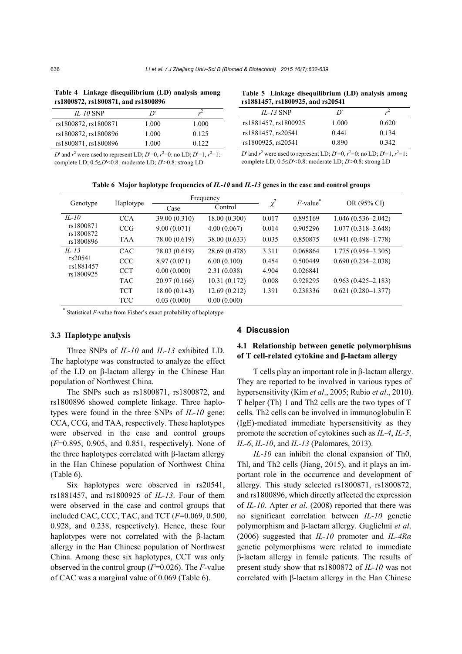| Table 4 Linkage disequilibrium (LD) analysis among<br>rs1800872, rs1800871, and rs1800896 |       |       | Table 5 Linkage disequilibrium (LD) analysis among<br>rs1881457, rs1800925, and rs20541 |       |       |  |  |
|-------------------------------------------------------------------------------------------|-------|-------|-----------------------------------------------------------------------------------------|-------|-------|--|--|
| $IL-10$ SNP                                                                               |       |       | $IL-13$ SNP                                                                             |       |       |  |  |
| rs1800872, rs1800871                                                                      | 1.000 | 1.000 | rs1881457, rs1800925                                                                    | 1.000 | 0.620 |  |  |
| rs1800872, rs1800896                                                                      | 1.000 | 0.125 | rs1881457, rs20541                                                                      | 0.441 | 0.134 |  |  |
| rs1800871, rs1800896                                                                      | .000  | 0.122 | rs1800925, rs20541                                                                      | 0.890 | 0.342 |  |  |
|                                                                                           |       |       |                                                                                         |       |       |  |  |

**Table 4 Linkage disequilibrium (LD) analysis among** 

*D*' and  $r^2$  were used to represent LD; *D*'=0,  $r^2$ =0: no LD; *D*'=1,  $r^2$ =1: complete LD; 0.5≤*D*'<0.8: moderate LD; *D*'>0.8: strong LD

*D*' and  $r^2$  were used to represent LD; *D*'=0,  $r^2$ =0: no LD; *D*'=1,  $r^2$ =1: complete LD; 0.5≤*D*'<0.8: moderate LD; *D*'>0.8: strong LD

|  |  |  |  |  |  |  | Table 6 Major haplotype frequencies of IL-10 and IL-13 genes in the case and control groups |
|--|--|--|--|--|--|--|---------------------------------------------------------------------------------------------|
|--|--|--|--|--|--|--|---------------------------------------------------------------------------------------------|

| Genotype               | Haplotype  |               | Frequency     | $\chi^2$ | $F$ -value <sup>*</sup> |                        |
|------------------------|------------|---------------|---------------|----------|-------------------------|------------------------|
|                        |            | Case          | Control       |          |                         | OR (95% CI)            |
| $IL-10$                | <b>CCA</b> | 39.00 (0.310) | 18.00 (0.300) | 0.017    | 0.895169                | $1.046(0.536 - 2.042)$ |
| rs1800871              | <b>CCG</b> | 9.00(0.071)   | 4.00(0.067)   | 0.014    | 0.905296                | $1.077(0.318 - 3.648)$ |
| rs1800872<br>rs1800896 | <b>TAA</b> | 78.00 (0.619) | 38.00 (0.633) | 0.035    | 0.850875                | $0.941(0.498 - 1.778)$ |
| $IL-13$                | <b>CAC</b> | 78.03 (0.619) | 28.69 (0.478) | 3.311    | 0.068864                | $1.775(0.954 - 3.305)$ |
| rs20541                | <b>CCC</b> | 8.97(0.071)   | 6.00(0.100)   | 0.454    | 0.500449                | $0.690(0.234 - 2.038)$ |
| rs1881457<br>rs1800925 | <b>CCT</b> | 0.00(0.000)   | 2.31(0.038)   | 4.904    | 0.026841                |                        |
|                        | <b>TAC</b> | 20.97 (0.166) | 10.31(0.172)  | 0.008    | 0.928295                | $0.963(0.425 - 2.183)$ |
|                        | <b>TCT</b> | 18.00(0.143)  | 12.69(0.212)  | 1.391    | 0.238336                | $0.621(0.280-1.377)$   |
|                        | <b>TCC</b> | 0.03(0.000)   | 0.00(0.000)   |          |                         |                        |

Statistical *F*-value from Fisher's exact probability of haplotype

## **3.3 Haplotype analysis**

Three SNPs of *IL-10* and *IL-13* exhibited LD. The haplotype was constructed to analyze the effect of the LD on β-lactam allergy in the Chinese Han population of Northwest China.

The SNPs such as rs1800871, rs1800872, and rs1800896 showed complete linkage. Three haplotypes were found in the three SNPs of *IL-10* gene: CCA, CCG, and TAA, respectively. These haplotypes were observed in the case and control groups (*F*=0.895, 0.905, and 0.851, respectively). None of the three haplotypes correlated with β-lactam allergy in the Han Chinese population of Northwest China (Table 6).

Six haplotypes were observed in rs20541, rs1881457, and rs1800925 of *IL-13*. Four of them were observed in the case and control groups that included CAC, CCC, TAC, and TCT (*F*=0.069, 0.500, 0.928, and 0.238, respectively). Hence, these four haplotypes were not correlated with the β-lactam allergy in the Han Chinese population of Northwest China. Among these six haplotypes, CCT was only observed in the control group (*F*=0.026). The *F-*value of CAC was a marginal value of 0.069 (Table 6).

#### **4 Discussion**

## **4.1 Relationship between genetic polymorphisms of T cell-related cytokine and β-lactam allergy**

T cells play an important role in β-lactam allergy. They are reported to be involved in various types of hypersensitivity (Kim *et al*., 2005; Rubio *et al*., 2010). T helper (Th) 1 and Th2 cells are the two types of T cells. Th2 cells can be involved in immunoglobulin E (IgE)-mediated immediate hypersensitivity as they promote the secretion of cytokines such as *IL-4*, *IL-5*, *IL-6*, *IL-10*, and *IL-13* (Palomares, 2013).

*IL-10* can inhibit the clonal expansion of Th0, Thl, and Th2 cells (Jiang, 2015), and it plays an important role in the occurrence and development of allergy. This study selected rs1800871, rs1800872, and rs1800896, which directly affected the expression of *IL-10*. Apter *et al*. (2008) reported that there was no significant correlation between *IL-10* genetic polymorphism and β-lactam allergy. Guglielmi *et al*. (2006) suggested that *IL-10* promoter and *IL-4Rα* genetic polymorphisms were related to immediate β-lactam allergy in female patients. The results of present study show that rs1800872 of *IL-10* was not correlated with β-lactam allergy in the Han Chinese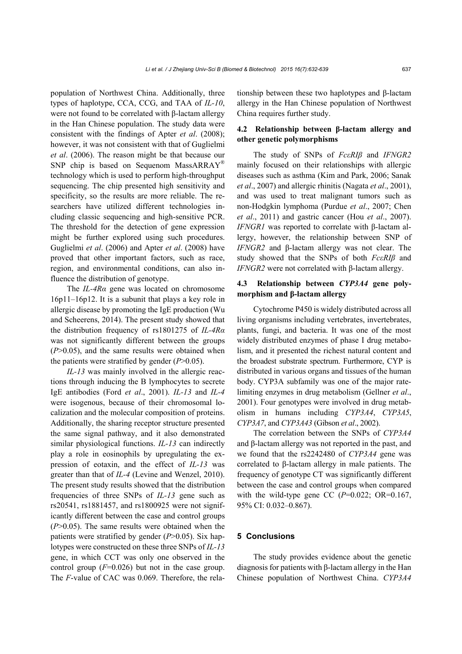population of Northwest China. Additionally, three types of haplotype, CCA, CCG, and TAA of *IL-10*, were not found to be correlated with β-lactam allergy in the Han Chinese population. The study data were consistent with the findings of Apter *et al*. (2008); however, it was not consistent with that of Guglielmi *et al*. (2006). The reason might be that because our SNP chip is based on Sequenom MassARRAY<sup>®</sup> technology which is used to perform high-throughput sequencing. The chip presented high sensitivity and specificity, so the results are more reliable. The researchers have utilized different technologies including classic sequencing and high-sensitive PCR. The threshold for the detection of gene expression might be further explored using such procedures. Guglielmi *et al*. (2006) and Apter *et al*. (2008) have proved that other important factors, such as race, region, and environmental conditions, can also influence the distribution of genotype.

The *IL-4Rα* gene was located on chromosome 16p11–16p12. It is a subunit that plays a key role in allergic disease by promoting the IgE production (Wu and Scheerens, 2014). The present study showed that the distribution frequency of rs1801275 of *IL-4Rα* was not significantly different between the groups (*P*>0.05), and the same results were obtained when the patients were stratified by gender (*P*>0.05).

*IL-13* was mainly involved in the allergic reactions through inducing the B lymphocytes to secrete IgE antibodies (Ford *et al*., 2001). *IL-13* and *IL-4*  were isogenous, because of their chromosomal localization and the molecular composition of proteins. Additionally, the sharing receptor structure presented the same signal pathway, and it also demonstrated similar physiological functions. *IL-13* can indirectly play a role in eosinophils by upregulating the expression of eotaxin, and the effect of *IL-13* was greater than that of *IL-4* (Levine and Wenzel, 2010). The present study results showed that the distribution frequencies of three SNPs of *IL-13* gene such as rs20541, rs1881457, and rs1800925 were not significantly different between the case and control groups (*P*>0.05). The same results were obtained when the patients were stratified by gender (*P*>0.05). Six haplotypes were constructed on these three SNPs of *IL-13* gene, in which CCT was only one observed in the control group  $(F=0.026)$  but not in the case group. The *F*-value of CAC was 0.069. Therefore, the relationship between these two haplotypes and β-lactam allergy in the Han Chinese population of Northwest China requires further study.

## **4.2 Relationship between β-lactam allergy and other genetic polymorphisms**

The study of SNPs of *FcεRIβ* and *IFNGR2* mainly focused on their relationships with allergic diseases such as asthma (Kim and Park, 2006; Sanak *et al*., 2007) and allergic rhinitis (Nagata *et al*., 2001), and was used to treat malignant tumors such as non-Hodgkin lymphoma (Purdue *et al*., 2007; Chen *et al*., 2011) and gastric cancer (Hou *et al*., 2007). *IFNGR1* was reported to correlate with β-lactam allergy, however, the relationship between SNP of *IFNGR2* and β-lactam allergy was not clear. The study showed that the SNPs of both *FcεRIβ* and *IFNGR2* were not correlated with β-lactam allergy.

## **4.3 Relationship between** *CYP3A4* **gene polymorphism and β-lactam allergy**

Cytochrome P450 is widely distributed across all living organisms including vertebrates, invertebrates, plants, fungi, and bacteria. It was one of the most widely distributed enzymes of phase I drug metabolism, and it presented the richest natural content and the broadest substrate spectrum. Furthermore, CYP is distributed in various organs and tissues of the human body. CYP3A subfamily was one of the major ratelimiting enzymes in drug metabolism (Gellner *et al*., 2001). Four genotypes were involved in drug metabolism in humans including *CYP3A4*, *CYP3A5*, *CYP3A7*, and *CYP3A43* (Gibson *et al*., 2002).

The correlation between the SNPs of *CYP3A4* and β-lactam allergy was not reported in the past, and we found that the rs2242480 of *CYP3A4* gene was correlated to β-lactam allergy in male patients. The frequency of genotype CT was significantly different between the case and control groups when compared with the wild-type gene CC  $(P=0.022; \text{ OR} = 0.167)$ , 95% CI: 0.032–0.867).

#### **5 Conclusions**

The study provides evidence about the genetic diagnosis for patients with β-lactam allergy in the Han Chinese population of Northwest China. *CYP3A4*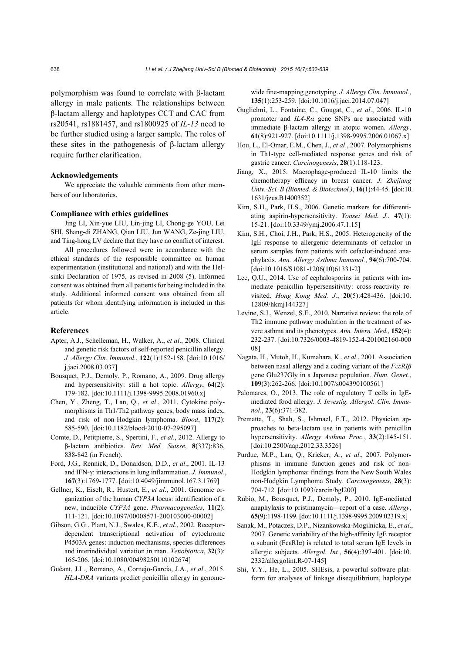polymorphism was found to correlate with β-lactam allergy in male patients. The relationships between β-lactam allergy and haplotypes CCT and CAC from rs20541, rs1881457, and rs1800925 of *IL-13* need to be further studied using a larger sample. The roles of these sites in the pathogenesis of β-lactam allergy require further clarification.

#### **Acknowledgements**

We appreciate the valuable comments from other members of our laboratories.

#### **Compliance with ethics guidelines**

Jing LI, Xin-yue LIU, Lin-jing LI, Chong-ge YOU, Lei SHI, Shang-di ZHANG, Qian LIU, Jun WANG, Ze-jing LIU, and Ting-hong LV declare that they have no conflict of interest.

All procedures followed were in accordance with the ethical standards of the responsible committee on human experimentation (institutional and national) and with the Helsinki Declaration of 1975, as revised in 2008 (5). Informed consent was obtained from all patients for being included in the study. Additional informed consent was obtained from all patients for whom identifying information is included in this article.

#### **References**

- Apter, A.J., Schelleman, H., Walker, A., *et al*., 2008. Clinical and genetic risk factors of self-reported penicillin allergy. *J. Allergy Clin. Immunol.*, **122**(1):152-158. [doi:10.1016/ j.jaci.2008.03.037]
- Bousquet, P.J., Demoly, P., Romano, A., 2009. Drug allergy and hypersensitivity: still a hot topic. *Allergy*, **64**(2): 179-182. [doi:10.1111/j.1398-9995.2008.01960.x]
- Chen, Y., Zheng, T., Lan, Q., *et al*., 2011. Cytokine polymorphisms in Th1/Th2 pathway genes, body mass index, and risk of non-Hodgkin lymphoma. *Blood*, **117**(2): 585-590. [doi:10.1182/blood-2010-07-295097]
- Comte, D., Petitpierre, S., Spertini, F., *et al*., 2012. Allergy to β-lactam antibiotics. *Rev. Med. Suisse*, **8**(337):836, 838-842 (in French).
- Ford, J.G., Rennick, D., Donaldson, D.D., *et al*., 2001. IL-13 and IFN-γ: interactions in lung inflammation. *J. Immunol*., **167**(3):1769-1777. [doi:10.4049/jimmunol.167.3.1769]
- Gellner, K., Eiselt, R., Hustert, E., *et al*., 2001. Genomic organization of the human *CYP3A* locus: identification of a new, inducible *CYP3A* gene. *Pharmacogenetics*, **11**(2): 111-121. [doi:10.1097/00008571-200103000-00002]
- Gibson, G.G., Plant, N.J., Swales, K.E., *et al*., 2002. Receptordependent transcriptional activation of cytochrome P4503A genes: induction mechanisms, species differences and interindividual variation in man. *Xenobiotica*, **32**(3): 165-206. [doi:10.1080/00498250110102674]
- Guéant, J.L., Romano, A., Cornejo-Garcia, J.A., *et al*., 2015. *HLA-DRA* variants predict penicillin allergy in genome-

wide fine-mapping genotyping. *J. Allergy Clin. Immunol.*, **135**(1):253-259. [doi:10.1016/j.jaci.2014.07.047]

- Guglielmi, L., Fontaine, C., Gougat, C., *et al*., 2006. IL-10 promoter and *IL4-Rα* gene SNPs are associated with immediate β-lactam allergy in atopic women. *Allergy*, **61**(8):921-927. [doi:10.1111/j.1398-9995.2006.01067.x]
- Hou, L., El-Omar, E.M., Chen, J., *et al*., 2007. Polymorphisms in Th1-type cell-mediated response genes and risk of gastric cancer. *Carcinogenesis*, **28**(1):118-123.
- Jiang, X., 2015. Macrophage-produced IL-10 limits the chemotherapy efficacy in breast cancer. *J. Zhejiang Univ.-Sci. B (Biomed. & Biotechnol.)*, **16**(1):44-45. [doi:10. 1631/jzus.B1400352]
- Kim, S.H., Park, H.S., 2006. Genetic markers for differentiating aspirin-hypersensitivity. *Yonsei Med. J.*, **47**(1): 15-21. [doi:10.3349/ymj.2006.47.1.15]
- Kim, S.H., Choi, J.H., Park, H.S., 2005. Heterogeneity of the IgE response to allergenic determinants of cefaclor in serum samples from patients with cefaclor-induced anaphylaxis. *Ann. Allergy Asthma Immunol.*, **94**(6):700-704. [doi:10.1016/S1081-1206(10)61331-2]
- Lee, Q.U., 2014. Use of cephalosporins in patients with immediate penicillin hypersensitivity: cross-reactivity revisited. *Hong Kong Med. J.*, **20**(5):428-436. [doi:10. 12809/hkmj144327]
- Levine, S.J., Wenzel, S.E., 2010. Narrative review: the role of Th2 immune pathway modulation in the treatment of severe asthma and its phenotypes. *Ann. Intern. Med.*, **152**(4): 232-237. [doi:10.7326/0003-4819-152-4-201002160-000 08]
- Nagata, H., Mutoh, H., Kumahara, K., *et al*., 2001. Association between nasal allergy and a coding variant of the *FcεRIβ* gene Glu237Gly in a Japanese population. *Hum. Genet.*, **109**(3):262-266. [doi:10.1007/s004390100561]
- Palomares, O., 2013. The role of regulatory T cells in IgEmediated food allergy. *J. Investig. Allergol. Clin. Immunol.*, **23**(6):371-382.
- Prematta, T., Shah, S., Ishmael, F.T., 2012. Physician approaches to beta-lactam use in patients with penicillin hypersensitivity. *Allergy Asthma Proc.*, **33**(2):145-151. [doi:10.2500/aap.2012.33.3526]
- Purdue, M.P., Lan, Q., Kricker, A., *et al*., 2007. Polymorphisms in immune function genes and risk of non-Hodgkin lymphoma: findings from the New South Wales non-Hodgkin Lymphoma Study. *Carcinogenesis*, **28**(3): 704-712. [doi:10.1093/carcin/bgl200]
- Rubio, M., Bousquet, P.J., Demoly, P., 2010. IgE-mediated anaphylaxis to pristinamycin—report of a case. *Allergy*, **65**(9):1198-1199. [doi:10.1111/j.1398-9995.2009.02319.x]
- Sanak, M., Potaczek, D.P., Nizankowska-Mogilnicka, E., *et al*., 2007. Genetic variability of the high-affinity IgE receptor α subunit (FcεRIα) is related to total serum IgE levels in allergic subjects. *Allergol. Int.*, **56**(4):397-401. [doi:10. 2332/allergolint.R-07-145]
- Shi, Y.Y., He, L., 2005. SHEsis, a powerful software platform for analyses of linkage disequilibrium, haplotype